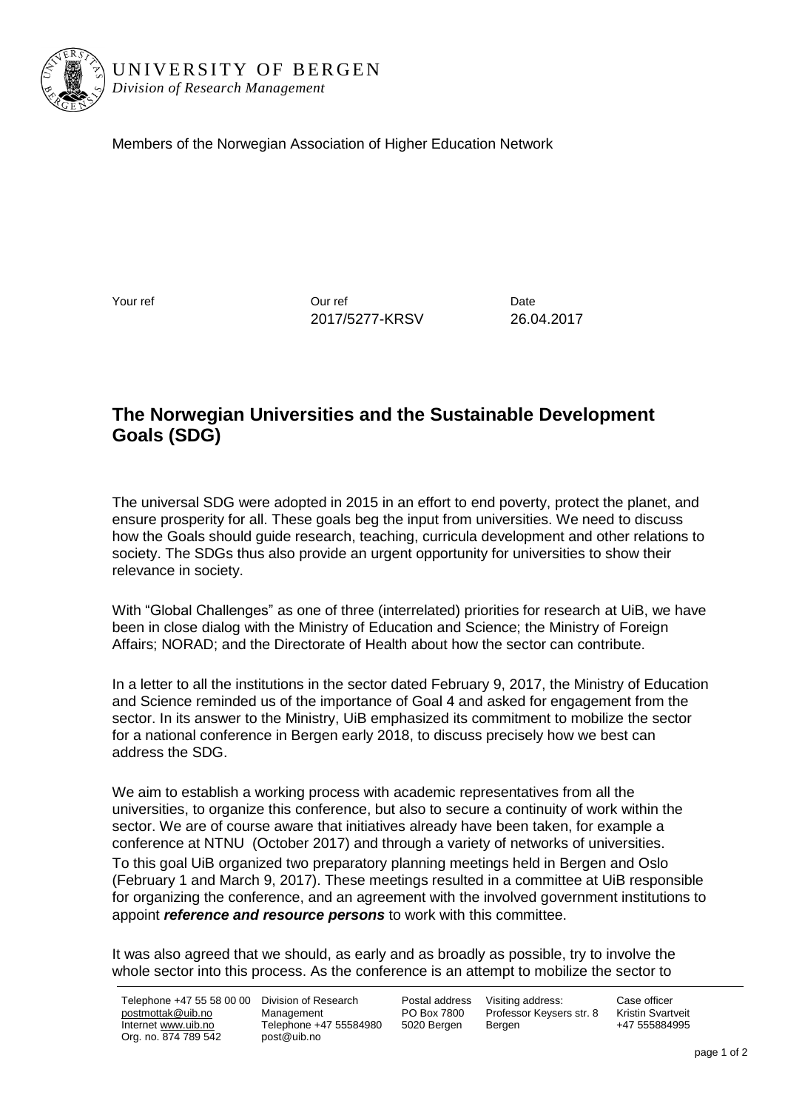

Members of the Norwegian Association of Higher Education Network

Your ref Date Courrel Courrel Courrel Courrel Courrel Date 2017/5277-KRSV 26.04.2017

## **The Norwegian Universities and the Sustainable Development Goals (SDG)**

The universal SDG were adopted in 2015 in an effort to end poverty, protect the planet, and ensure prosperity for all. These goals beg the input from universities. We need to discuss how the Goals should guide research, teaching, curricula development and other relations to society. The SDGs thus also provide an urgent opportunity for universities to show their relevance in society.

With "Global Challenges" as one of three (interrelated) priorities for research at UiB, we have been in close dialog with the Ministry of Education and Science; the Ministry of Foreign Affairs; NORAD; and the Directorate of Health about how the sector can contribute.

In a letter to all the institutions in the sector dated February 9, 2017, the Ministry of Education and Science reminded us of the importance of Goal 4 and asked for engagement from the sector. In its answer to the Ministry, UiB emphasized its commitment to mobilize the sector for a national conference in Bergen early 2018, to discuss precisely how we best can address the SDG.

We aim to establish a working process with academic representatives from all the universities, to organize this conference, but also to secure a continuity of work within the sector. We are of course aware that initiatives already have been taken, for example a conference at NTNU (October 2017) and through a variety of networks of universities. To this goal UiB organized two preparatory planning meetings held in Bergen and Oslo (February 1 and March 9, 2017). These meetings resulted in a committee at UiB responsible for organizing the conference, and an agreement with the involved government institutions to appoint *reference and resource persons* to work with this committee.

It was also agreed that we should, as early and as broadly as possible, try to involve the whole sector into this process. As the conference is an attempt to mobilize the sector to

Postal address PO Box 7800 5020 Bergen Visiting address: Bergen

Professor Keysers str. 8 Case officer Kristin Svartveit +47 555884995